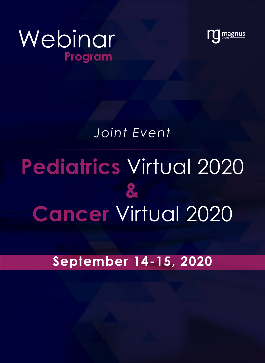



## *Joint Event*

## **Pediatrics** Virtual 2020 **& Cancer** Virtual 2020

## **September 14-15, 2020**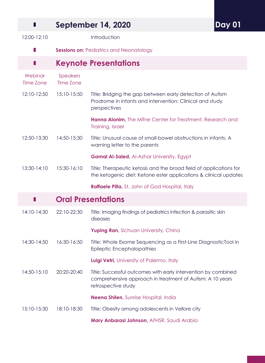| Ш                              |                                                | <b>September 14, 2020</b>                                                                                                                          | <b>Day 01</b> |
|--------------------------------|------------------------------------------------|----------------------------------------------------------------------------------------------------------------------------------------------------|---------------|
| 12:00-12:10                    |                                                | Introduction                                                                                                                                       |               |
|                                | <b>Sessions on: Pediatrics and Neonatology</b> |                                                                                                                                                    |               |
| Ш                              |                                                | <b>Keynote Presentations</b>                                                                                                                       |               |
| Webinar<br>Time Zone           | Speakers<br>Time Zone                          |                                                                                                                                                    |               |
| 12:10-12:50                    | 15:10-15:50                                    | Title: Bridging the gap between early detection of Autism<br>Prodrome in infants and intervention: Clinical and study<br>perspectives              |               |
|                                |                                                | Hanna Alonim, The Mifne Center for Treatment, Research and<br>Training, Israel                                                                     |               |
| 12:50-13:30                    | 14:50-15:30                                    | Title: Unusual cause of small-bowel obstructions in infants: A<br>warning letter to the parents                                                    |               |
|                                |                                                | <b>Gamal Al-Saied, Al-Azhar University, Egypt</b>                                                                                                  |               |
| 13:30-14:10                    | 15:30-16:10                                    | Title: Therapeutic ketosis and the broad field of applications for<br>the ketogenic diet: Ketone ester applications & clinical updates             |               |
|                                |                                                | <b>Raffaele Pilla, St. John of God Hospital, Italy</b>                                                                                             |               |
| <b>Oral Presentations</b><br>ш |                                                |                                                                                                                                                    |               |
| 14:10-14:30                    | 22:10-22:30                                    | Title: Imaging findings of pediatrics infection & parasitic skin<br>diseases                                                                       |               |
|                                |                                                | Yuping Ran, Sichuan University, China                                                                                                              |               |
| 14:30-14:50                    | 16:30-16:50                                    | Title: Whole Exome Sequencing as a First-Line DiagnosticTool in<br>Epileptic Encephalopathies                                                      |               |
|                                |                                                | Luigi Vetri, University of Palermo, Italy                                                                                                          |               |
| 14:50-15:10                    | 20:20-20:40                                    | Title: Successful outcomes with early intervention by combined<br>comprehensive approach in treatment of Autism: A 10 years<br>retrospective study |               |
|                                |                                                | Neena Shilen, Sunrise Hospital, India                                                                                                              |               |
| 15:10-15:30                    | 18:10-18:30                                    | Title: Obesity among adolescents in Vellore city                                                                                                   |               |
|                                |                                                | Mary Anbarasi Johnson, AFHSR, Saudi Arabia                                                                                                         |               |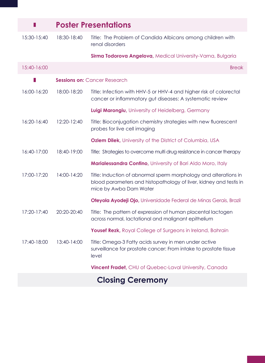| П                          | <b>Poster Presentations</b>                                                          |                                                                                                                                                                  |  |
|----------------------------|--------------------------------------------------------------------------------------|------------------------------------------------------------------------------------------------------------------------------------------------------------------|--|
| 15:30-15:40                | 18:30-18:40                                                                          | Title: The Problem of Candida Albicans among children with<br>renal disorders                                                                                    |  |
|                            |                                                                                      | Sirma Todorova Angelova, Medical University-Varna, Bulgaria                                                                                                      |  |
| 15:40-16:00                |                                                                                      | <b>Break</b>                                                                                                                                                     |  |
|                            | <b>Sessions on: Cancer Research</b>                                                  |                                                                                                                                                                  |  |
| 16:00-16:20                | 18:00-18:20                                                                          | Title: Infection with HHV-5 or HHV-4 and higher risk of colorectal<br>cancer or inflammatory gut diseases: A systematic review                                   |  |
|                            |                                                                                      | Luigi Marongiu, University of Heidelberg, Germany                                                                                                                |  |
| 16:20-16:40                | 12:20-12:40                                                                          | Title: Bioconjugation chemistry strategies with new fluorescent<br>probes for live cell imaging                                                                  |  |
|                            |                                                                                      | <b>Ozlem Dilek, University of the District of Columbia, USA</b>                                                                                                  |  |
| 16:40-17:00                | 18:40-19:00<br>Title: Strategies to overcome multi drug resistance in cancer therapy |                                                                                                                                                                  |  |
|                            |                                                                                      | Marialessandra Contino, University of Bari Aldo Moro, Italy                                                                                                      |  |
| 17:00-17:20                | 14:00-14:20                                                                          | Title: Induction of abnormal sperm morphology and alterations in<br>blood parameters and histopathology of liver, kidney and testis in<br>mice by Awba Dam Water |  |
|                            |                                                                                      | Oteyola Ayodeji Ojo, Universidade Federal de Minas Gerais, Brazil                                                                                                |  |
| 20:20-20:40<br>17:20-17:40 |                                                                                      | Title: The pattern of expression of human placental lactogen<br>across normal, lactational and malignant epithelium                                              |  |
|                            |                                                                                      | Yousef Rezk, Royal College of Surgeons in Ireland, Bahrain                                                                                                       |  |
| 17:40-18:00                | 13:40-14:00                                                                          | Title: Omega-3 Fatty acids survey in men under active<br>surveillance for prostate cancer: From intake to prostate tissue<br>level                               |  |
|                            |                                                                                      | Vincent Fradet, CHU of Quebec-Laval University, Canada                                                                                                           |  |
|                            |                                                                                      | <b>Closing Ceremony</b>                                                                                                                                          |  |